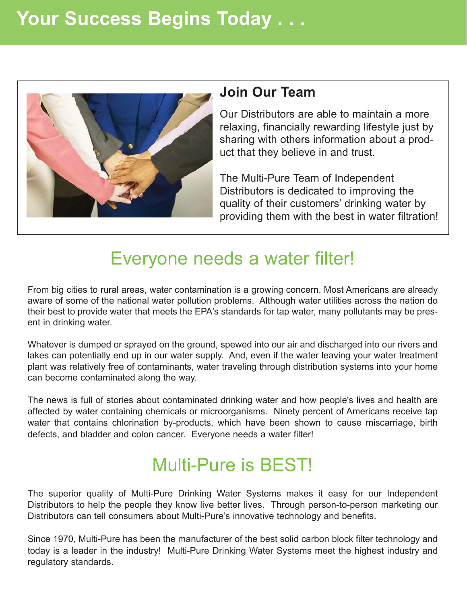# **Your Success Begins Today . . .**



#### **Join Our Team**

Our Distributors are able to maintain a more relaxing, financially rewarding lifestyle just by sharing with others information about a product that they believe in and trust.

The Multi-Pure Team of Independent Distributors is dedicated to improving the quality of their customers' drinking water by providing them with the best in water filtration!

#### Everyone needs a water filter!

From big cities to rural areas, water contamination is a growing concern. Most Americans are already aware of some of the national water pollution problems. Although water utilities across the nation do their best to provide water that meets the EPA's standards for tap water, many pollutants may be present in drinking water.

Whatever is dumped or sprayed on the ground, spewed into our air and discharged into our rivers and lakes can potentially end up in our water supply. And, even if the water leaving your water treatment plant was relatively free of contaminants, water traveling through distribution systems into your home can become contaminated along the way.

The news is full of stories about contaminated drinking water and how people's lives and health are affected by water containing chemicals or microorganisms. Ninety percent of Americans receive tap water that contains chlorination by-products, which have been shown to cause miscarriage, birth defects, and bladder and colon cancer. Everyone needs a water filter!

## Multi-Pure is BEST!

The superior quality of Multi-Pure Drinking Water Systems makes it easy for our Independent Distributors to help the people they know live better lives. Through person-to-person marketing our Distributors can tell consumers about Multi-Pure's innovative technology and benefits.

Since 1970, Multi-Pure has been the manufacturer of the best solid carbon block filter technology and today is a leader in the industry! Multi-Pure Drinking Water Systems meet the highest industry and regulatory standards.